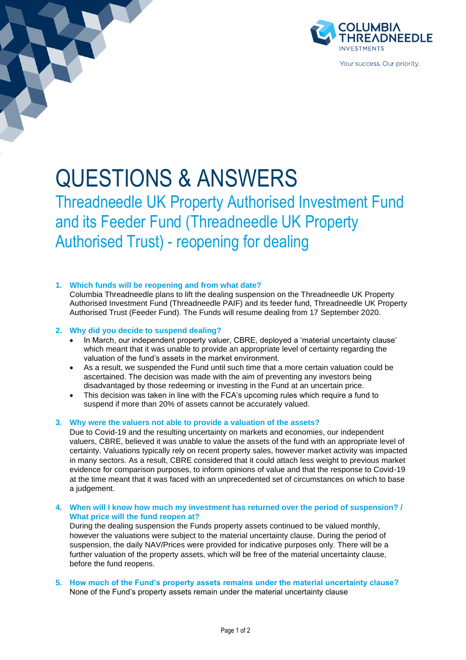

# QUESTIONS & ANSWERS

Threadneedle UK Property Authorised Investment Fund and its Feeder Fund (Threadneedle UK Property Authorised Trust) - reopening for dealing

## **1. Which funds will be reopening and from what date?**

Columbia Threadneedle plans to lift the dealing suspension on the Threadneedle UK Property Authorised Investment Fund (Threadneedle PAIF) and its feeder fund, Threadneedle UK Property Authorised Trust (Feeder Fund). The Funds will resume dealing from 17 September 2020.

## **2. Why did you decide to suspend dealing?**

- In March, our independent property valuer, CBRE, deployed a 'material uncertainty clause' which meant that it was unable to provide an appropriate level of certainty regarding the valuation of the fund's assets in the market environment.
- As a result, we suspended the Fund until such time that a more certain valuation could be ascertained. The decision was made with the aim of preventing any investors being disadvantaged by those redeeming or investing in the Fund at an uncertain price.
- This decision was taken in line with the FCA's upcoming rules which require a fund to suspend if more than 20% of assets cannot be accurately valued.

## **3. Why were the valuers not able to provide a valuation of the assets?**

Due to Covid-19 and the resulting uncertainty on markets and economies, our independent valuers, CBRE, believed it was unable to value the assets of the fund with an appropriate level of certainty. Valuations typically rely on recent property sales, however market activity was impacted in many sectors*.* As a result, CBRE considered that it could attach less weight to previous market evidence for comparison purposes, to inform opinions of value and that the response to Covid-19 at the time meant that it was faced with an unprecedented set of circumstances on which to base a judgement.

**4. When will I know how much my investment has returned over the period of suspension? / What price will the fund reopen at?**

During the dealing suspension the Funds property assets continued to be valued monthly, however the valuations were subject to the material uncertainty clause. During the period of suspension, the daily NAV/Prices were provided for indicative purposes only. There will be a further valuation of the property assets, which will be free of the material uncertainty clause, before the fund reopens.

**5. How much of the Fund's property assets remains under the material uncertainty clause?** None of the Fund's property assets remain under the material uncertainty clause